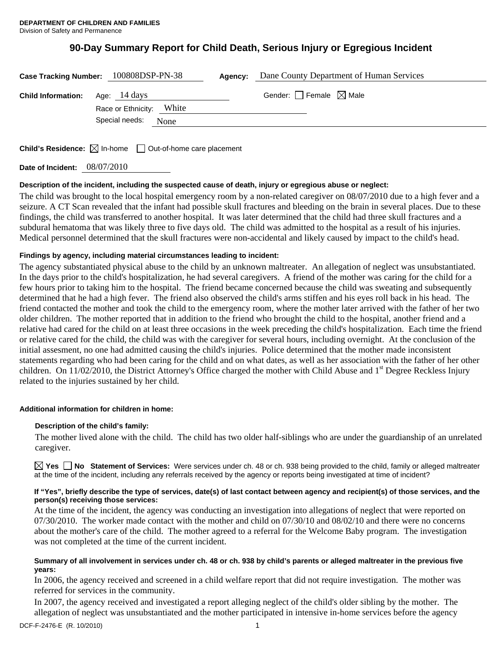# **90-Day Summary Report for Child Death, Serious Injury or Egregious Incident**

| Case Tracking Number: 100808DSP-PN-38 |                                          |      | Agency: | Dane County Department of Human Services |
|---------------------------------------|------------------------------------------|------|---------|------------------------------------------|
| <b>Child Information:</b>             | Age: 14 days<br>Race or Ethnicity: White |      |         | Gender: $\Box$ Female $\boxtimes$ Male   |
|                                       | Special needs:                           | None |         |                                          |
|                                       |                                          |      |         |                                          |

**Child's Residence:**  $\boxtimes$  In-home  $\Box$  Out-of-home care placement

**Date of Incident:** 08/07/2010

# **Description of the incident, including the suspected cause of death, injury or egregious abuse or neglect:**

The child was brought to the local hospital emergency room by a non-related caregiver on 08/07/2010 due to a high fever and a seizure. A CT Scan revealed that the infant had possible skull fractures and bleeding on the brain in several places. Due to these findings, the child was transferred to another hospital. It was later determined that the child had three skull fractures and a subdural hematoma that was likely three to five days old. The child was admitted to the hospital as a result of his injuries. Medical personnel determined that the skull fractures were non-accidental and likely caused by impact to the child's head.

# **Findings by agency, including material circumstances leading to incident:**

The agency substantiated physical abuse to the child by an unknown maltreater. An allegation of neglect was unsubstantiated. In the days prior to the child's hospitalization, he had several caregivers. A friend of the mother was caring for the child for a few hours prior to taking him to the hospital. The friend became concerned because the child was sweating and subsequently determined that he had a high fever. The friend also observed the child's arms stiffen and his eyes roll back in his head. The friend contacted the mother and took the child to the emergency room, where the mother later arrived with the father of her two older children. The mother reported that in addition to the friend who brought the child to the hospital, another friend and a relative had cared for the child on at least three occasions in the week preceding the child's hospitalization. Each time the friend or relative cared for the child, the child was with the caregiver for several hours, including overnight. At the conclusion of the initial assesment, no one had admitted causing the child's injuries. Police determined that the mother made inconsistent statements regarding who had been caring for the child and on what dates, as well as her association with the father of her other children. On 11/02/2010, the District Attorney's Office charged the mother with Child Abuse and 1<sup>st</sup> Degree Reckless Injury related to the injuries sustained by her child.

## **Additional information for children in home:**

## **Description of the child's family:**

 The mother lived alone with the child. The child has two older half-siblings who are under the guardianship of an unrelated caregiver.

**Yes No Statement of Services:** Were services under ch. 48 or ch. 938 being provided to the child, family or alleged maltreater at the time of the incident, including any referrals received by the agency or reports being investigated at time of incident?

## **If "Yes", briefly describe the type of services, date(s) of last contact between agency and recipient(s) of those services, and the person(s) receiving those services:**

At the time of the incident, the agency was conducting an investigation into allegations of neglect that were reported on 07/30/2010. The worker made contact with the mother and child on 07/30/10 and 08/02/10 and there were no concerns about the mother's care of the child. The mother agreed to a referral for the Welcome Baby program. The investigation was not completed at the time of the current incident.

## **Summary of all involvement in services under ch. 48 or ch. 938 by child's parents or alleged maltreater in the previous five years:**

In 2006, the agency received and screened in a child welfare report that did not require investigation. The mother was referred for services in the community.

In 2007, the agency received and investigated a report alleging neglect of the child's older sibling by the mother. The allegation of neglect was unsubstantiated and the mother participated in intensive in-home services before the agency